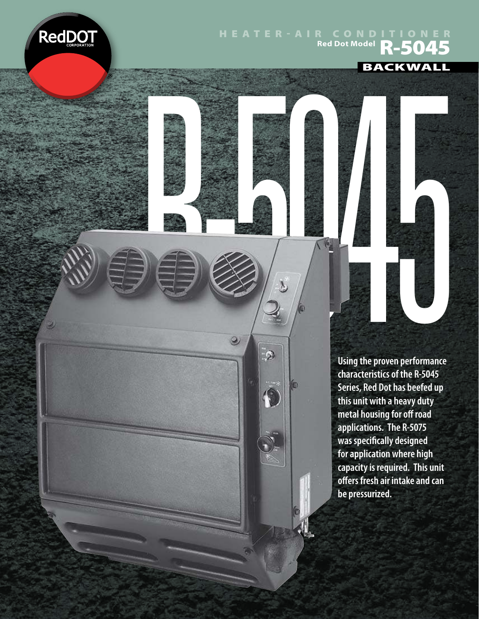

## Heater-air Conditioner **Red Dot Model**<br>Red Dot Model **R-5045**

R-5045

 $\odot$ 

 $\mathcal{Q}$ 

1

€

**BACKWALL** 

**Using the proven performance characteristics of the R-5045 Series, Red Dot has beefed up this unit with a heavy duty metal housing for off road applications. The R-5075 was specifically designed for application where high capacity is required. This unit ofers fresh air intake and can be pressurized.**